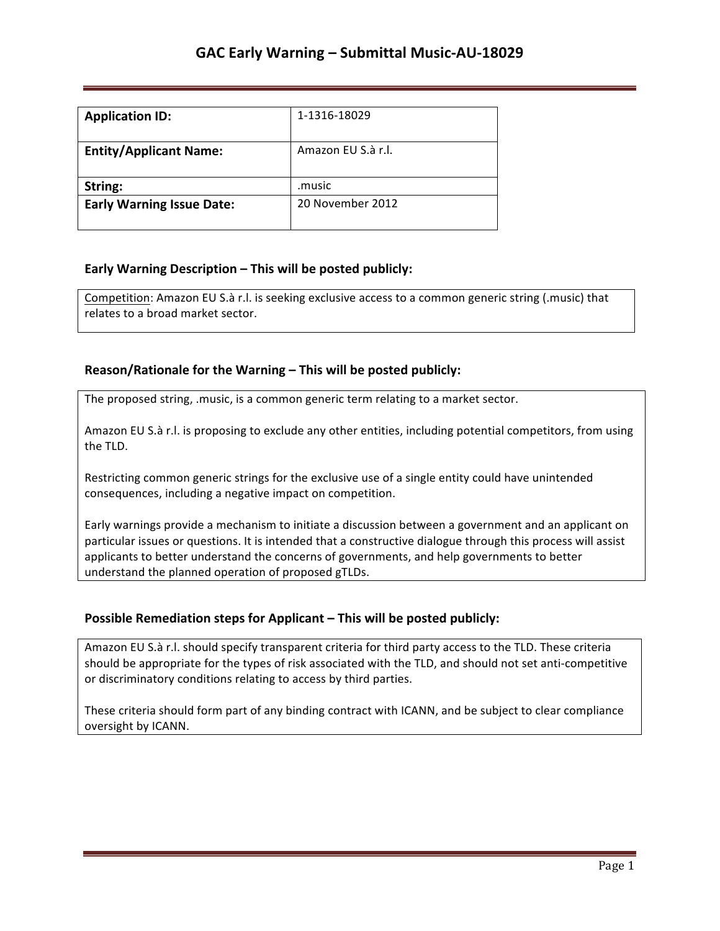| <b>Application ID:</b>           | 1-1316-18029       |
|----------------------------------|--------------------|
| <b>Entity/Applicant Name:</b>    | Amazon EU S.à r.l. |
| String:                          | .music             |
| <b>Early Warning Issue Date:</b> | 20 November 2012   |

### **Early Warning Description – This will be posted publicly:**

Competition: Amazon EU S.à r.l. is seeking exclusive access to a common generic string (.music) that relates to a broad market sector.

### **Reason/Rationale for the Warning – This will be posted publicly:**

The proposed string, .music, is a common generic term relating to a market sector.

Amazon EU S.à r.l. is proposing to exclude any other entities, including potential competitors, from using the TLD.

Restricting common generic strings for the exclusive use of a single entity could have unintended consequences, including a negative impact on competition.

Early warnings provide a mechanism to initiate a discussion between a government and an applicant on particular issues or questions. It is intended that a constructive dialogue through this process will assist applicants to better understand the concerns of governments, and help governments to better understand the planned operation of proposed gTLDs.

## **Possible Remediation steps for Applicant - This will be posted publicly:**

Amazon EU S.à r.l. should specify transparent criteria for third party access to the TLD. These criteria should be appropriate for the types of risk associated with the TLD, and should not set anti-competitive or discriminatory conditions relating to access by third parties.

These criteria should form part of any binding contract with ICANN, and be subject to clear compliance oversight by ICANN.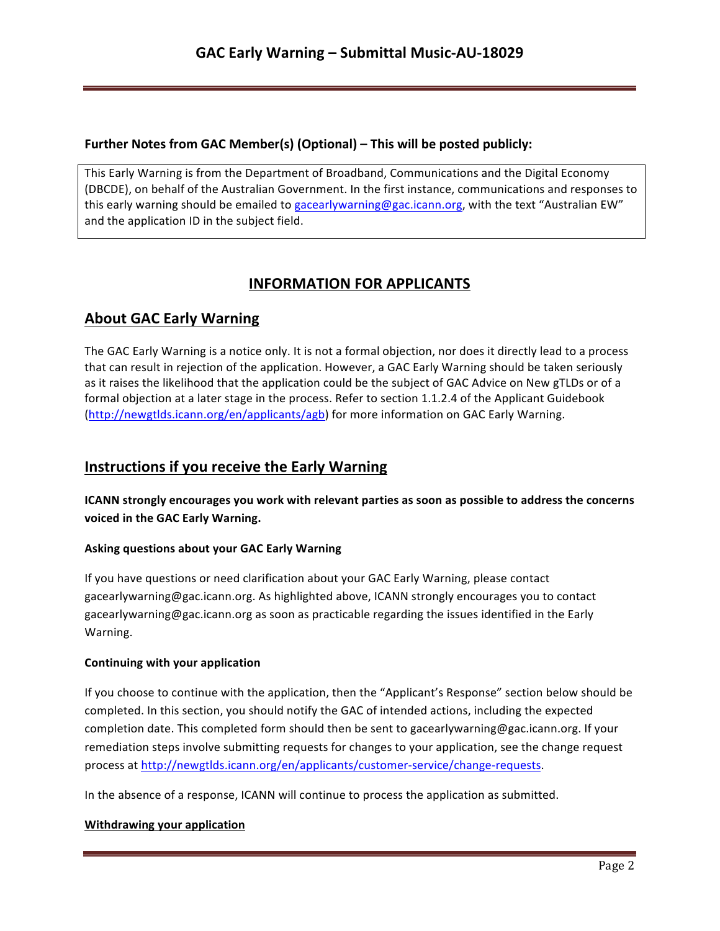### **Further Notes from GAC Member(s) (Optional) – This will be posted publicly:**

This Early Warning is from the Department of Broadband, Communications and the Digital Economy (DBCDE), on behalf of the Australian Government. In the first instance, communications and responses to this early warning should be emailed to gacearlywarning@gac.icann.org, with the text "Australian EW" and the application ID in the subject field.

# **INFORMATION FOR APPLICANTS**

## **About GAC Early Warning**

The GAC Early Warning is a notice only. It is not a formal objection, nor does it directly lead to a process that can result in rejection of the application. However, a GAC Early Warning should be taken seriously as it raises the likelihood that the application could be the subject of GAC Advice on New gTLDs or of a formal objection at a later stage in the process. Refer to section 1.1.2.4 of the Applicant Guidebook (http://newgtlds.icann.org/en/applicants/agb) for more information on GAC Early Warning.

## **Instructions if you receive the Early Warning**

**ICANN** strongly encourages you work with relevant parties as soon as possible to address the concerns voiced in the GAC Early Warning.

### **Asking questions about your GAC Early Warning**

If you have questions or need clarification about your GAC Early Warning, please contact gacearlywarning@gac.icann.org. As highlighted above, ICANN strongly encourages you to contact gacearlywarning@gac.icann.org as soon as practicable regarding the issues identified in the Early Warning. 

### **Continuing with your application**

If you choose to continue with the application, then the "Applicant's Response" section below should be completed. In this section, you should notify the GAC of intended actions, including the expected completion date. This completed form should then be sent to gacearlywarning@gac.icann.org. If your remediation steps involve submitting requests for changes to your application, see the change request process at http://newgtlds.icann.org/en/applicants/customer-service/change-requests.

In the absence of a response, ICANN will continue to process the application as submitted.

### **Withdrawing your application**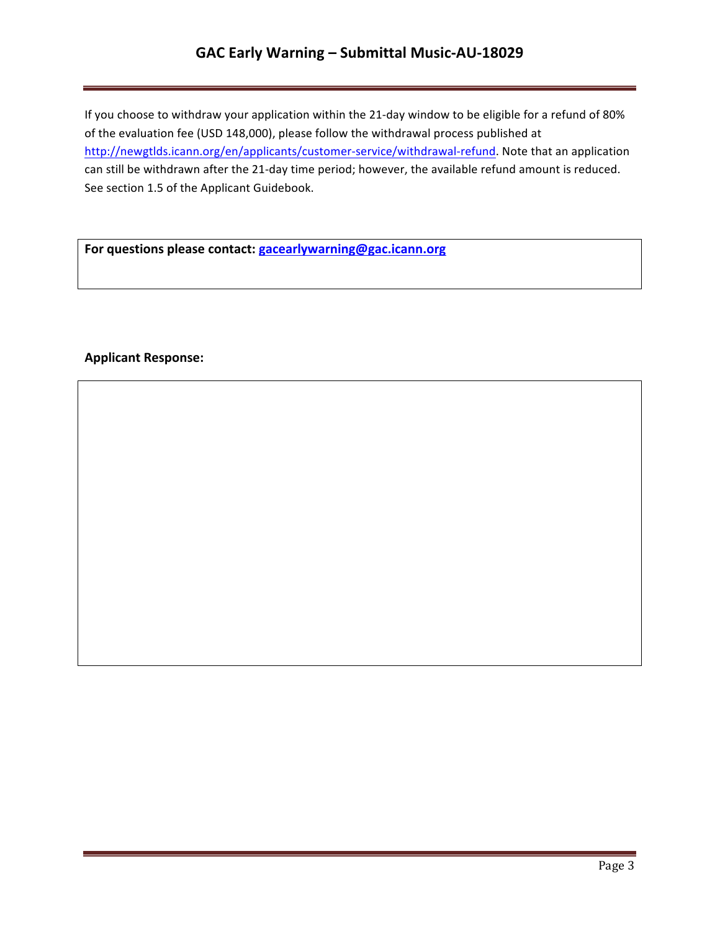# **GAC Early Warning – Submittal Music-AU-18029**

If you choose to withdraw your application within the 21-day window to be eligible for a refund of 80% of the evaluation fee (USD 148,000), please follow the withdrawal process published at http://newgtlds.icann.org/en/applicants/customer-service/withdrawal-refund. Note that an application can still be withdrawn after the 21-day time period; however, the available refund amount is reduced. See section 1.5 of the Applicant Guidebook.

For questions please contact: **gacearlywarning@gac.icann.org** 

### **Applicant Response:**